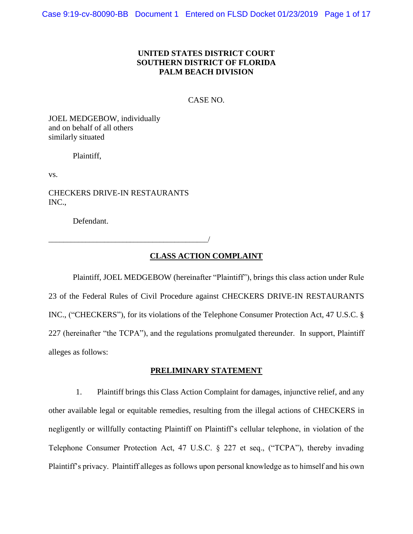## **UNITED STATES DISTRICT COURT SOUTHERN DISTRICT OF FLORIDA PALM BEACH DIVISION**

CASE NO.

JOEL MEDGEBOW, individually and on behalf of all others similarly situated

Plaintiff,

vs.

CHECKERS DRIVE-IN RESTAURANTS INC.,

\_\_\_\_\_\_\_\_\_\_\_\_\_\_\_\_\_\_\_\_\_\_\_\_\_\_\_\_\_\_\_\_\_\_\_\_\_\_\_\_\_\_\_/

Defendant.

## **CLASS ACTION COMPLAINT**

Plaintiff, JOEL MEDGEBOW (hereinafter "Plaintiff"), brings this class action under Rule 23 of the Federal Rules of Civil Procedure against CHECKERS DRIVE-IN RESTAURANTS INC., ("CHECKERS"), for its violations of the Telephone Consumer Protection Act, 47 U.S.C. § 227 (hereinafter "the TCPA"), and the regulations promulgated thereunder. In support, Plaintiff alleges as follows:

## **PRELIMINARY STATEMENT**

1. Plaintiff brings this Class Action Complaint for damages, injunctive relief, and any other available legal or equitable remedies, resulting from the illegal actions of CHECKERS in negligently or willfully contacting Plaintiff on Plaintiff's cellular telephone, in violation of the Telephone Consumer Protection Act, 47 U.S.C. § 227 et seq., ("TCPA"), thereby invading Plaintiff's privacy. Plaintiff alleges as follows upon personal knowledge as to himself and his own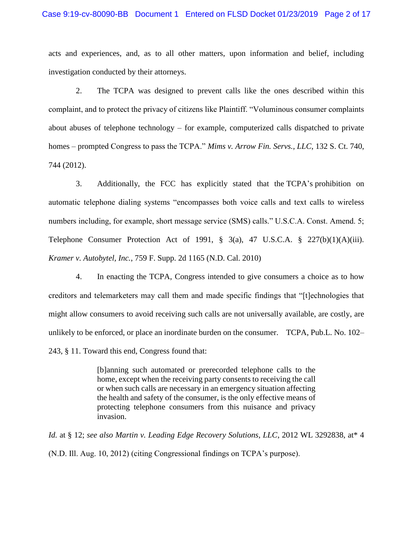#### Case 9:19-cv-80090-BB Document 1 Entered on FLSD Docket 01/23/2019 Page 2 of 17

acts and experiences, and, as to all other matters, upon information and belief, including investigation conducted by their attorneys.

2. The TCPA was designed to prevent calls like the ones described within this complaint, and to protect the privacy of citizens like Plaintiff. "Voluminous consumer complaints about abuses of telephone technology – for example, computerized calls dispatched to private homes – prompted Congress to pass the TCPA." *Mims v. Arrow Fin. Servs., LLC*, 132 S. Ct. 740, 744 (2012).

3. Additionally, the FCC has explicitly stated that the TCPA's prohibition on automatic telephone dialing systems "encompasses both voice calls and text calls to wireless numbers including, for example, short message service (SMS) calls." U.S.C.A. Const. Amend. 5; Telephone Consumer Protection Act of 1991,  $\S$  3(a), 47 U.S.C.A.  $\S$  227(b)(1)(A)(iii). *Kramer v. Autobytel, Inc.*, 759 F. Supp. 2d 1165 (N.D. Cal. 2010)

4. In enacting the TCPA, Congress intended to give consumers a choice as to how creditors and telemarketers may call them and made specific findings that "[t]echnologies that might allow consumers to avoid receiving such calls are not universally available, are costly, are unlikely to be enforced, or place an inordinate burden on the consumer. TCPA, Pub.L. No. 102– 243, § 11. Toward this end, Congress found that:

> [b]anning such automated or prerecorded telephone calls to the home, except when the receiving party consents to receiving the call or when such calls are necessary in an emergency situation affecting the health and safety of the consumer, is the only effective means of protecting telephone consumers from this nuisance and privacy invasion.

*Id.* at § 12; *see also Martin v. Leading Edge Recovery Solutions, LLC*, 2012 WL 3292838, at\* 4 (N.D. Ill. Aug. 10, 2012) (citing Congressional findings on TCPA's purpose).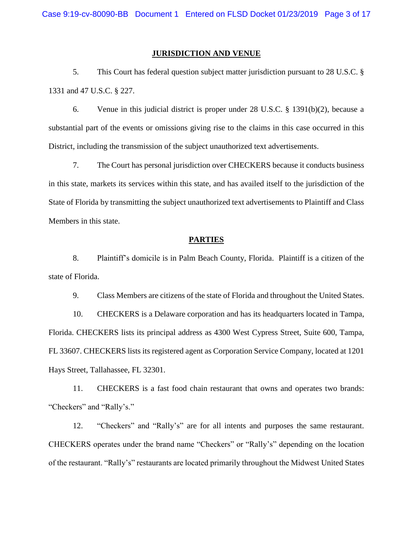## **JURISDICTION AND VENUE**

5. This Court has federal question subject matter jurisdiction pursuant to 28 U.S.C. § 1331 and 47 U.S.C. § 227.

6. Venue in this judicial district is proper under 28 U.S.C. § 1391(b)(2), because a substantial part of the events or omissions giving rise to the claims in this case occurred in this District, including the transmission of the subject unauthorized text advertisements.

7. The Court has personal jurisdiction over CHECKERS because it conducts business in this state, markets its services within this state, and has availed itself to the jurisdiction of the State of Florida by transmitting the subject unauthorized text advertisements to Plaintiff and Class Members in this state.

## **PARTIES**

8. Plaintiff's domicile is in Palm Beach County, Florida. Plaintiff is a citizen of the state of Florida.

9. Class Members are citizens of the state of Florida and throughout the United States.

10. CHECKERS is a Delaware corporation and has its headquarters located in Tampa, Florida. CHECKERS lists its principal address as 4300 West Cypress Street, Suite 600, Tampa, FL 33607. CHECKERS lists its registered agent as Corporation Service Company, located at 1201 Hays Street, Tallahassee, FL 32301.

11. CHECKERS is a fast food chain restaurant that owns and operates two brands: "Checkers" and "Rally's."

12. "Checkers" and "Rally's" are for all intents and purposes the same restaurant. CHECKERS operates under the brand name "Checkers" or "Rally's" depending on the location of the restaurant. "Rally's" restaurants are located primarily throughout the Midwest United States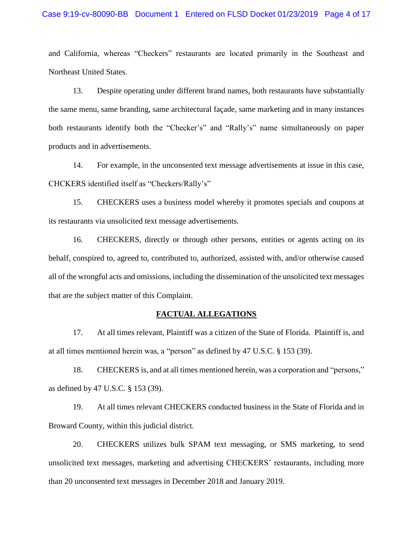## Case 9:19-cv-80090-BB Document 1 Entered on FLSD Docket 01/23/2019 Page 4 of 17

and California, whereas "Checkers" restaurants are located primarily in the Southeast and Northeast United States.

13. Despite operating under different brand names, both restaurants have substantially the same menu, same branding, same architectural façade, same marketing and in many instances both restaurants identify both the "Checker's" and "Rally's" name simultaneously on paper products and in advertisements.

14. For example, in the unconsented text message advertisements at issue in this case, CHCKERS identified itself as "Checkers/Rally's"

15. CHECKERS uses a business model whereby it promotes specials and coupons at its restaurants via unsolicited text message advertisements.

16. CHECKERS, directly or through other persons, entities or agents acting on its behalf, conspired to, agreed to, contributed to, authorized, assisted with, and/or otherwise caused all of the wrongful acts and omissions, including the dissemination of the unsolicited text messages that are the subject matter of this Complaint.

#### **FACTUAL ALLEGATIONS**

17. At all times relevant, Plaintiff was a citizen of the State of Florida. Plaintiff is, and at all times mentioned herein was, a "person" as defined by 47 U.S.C. § 153 (39).

18. CHECKERS is, and at all times mentioned herein, was a corporation and "persons," as defined by 47 U.S.C. § 153 (39).

19. At all times relevant CHECKERS conducted business in the State of Florida and in Broward County, within this judicial district.

20. CHECKERS utilizes bulk SPAM text messaging, or SMS marketing, to send unsolicited text messages, marketing and advertising CHECKERS' restaurants, including more than 20 unconsented text messages in December 2018 and January 2019.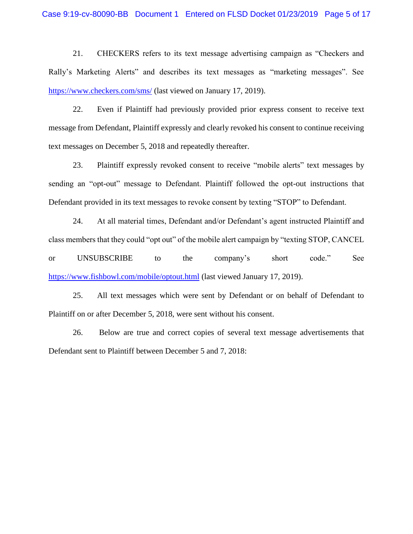21. CHECKERS refers to its text message advertising campaign as "Checkers and Rally's Marketing Alerts" and describes its text messages as "marketing messages". See <https://www.checkers.com/sms/> (last viewed on January 17, 2019).

22. Even if Plaintiff had previously provided prior express consent to receive text message from Defendant, Plaintiff expressly and clearly revoked his consent to continue receiving text messages on December 5, 2018 and repeatedly thereafter.

23. Plaintiff expressly revoked consent to receive "mobile alerts" text messages by sending an "opt-out" message to Defendant. Plaintiff followed the opt-out instructions that Defendant provided in its text messages to revoke consent by texting "STOP" to Defendant.

24. At all material times, Defendant and/or Defendant's agent instructed Plaintiff and class members that they could "opt out" of the mobile alert campaign by "texting STOP, CANCEL or UNSUBSCRIBE to the company's short code." See <https://www.fishbowl.com/mobile/optout.html> (last viewed January 17, 2019).

25. All text messages which were sent by Defendant or on behalf of Defendant to Plaintiff on or after December 5, 2018, were sent without his consent.

26. Below are true and correct copies of several text message advertisements that Defendant sent to Plaintiff between December 5 and 7, 2018: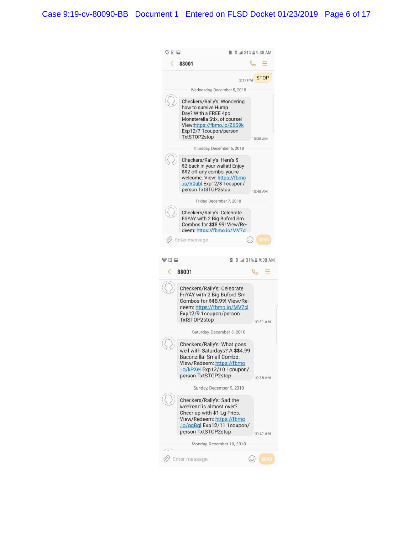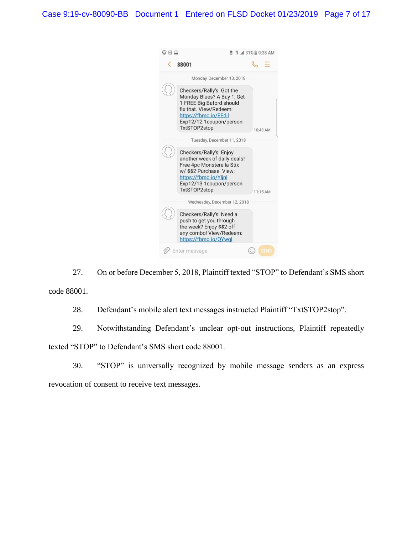Case 9:19-cv-80090-BB Document 1 Entered on FLSD Docket 01/23/2019 Page 7 of 17



27. On or before December 5, 2018, Plaintiff texted "STOP" to Defendant's SMS short code 88001.

28. Defendant's mobile alert text messages instructed Plaintiff "TxtSTOP2stop".

29. Notwithstanding Defendant's unclear opt-out instructions, Plaintiff repeatedly texted "STOP" to Defendant's SMS short code 88001.

30. "STOP" is universally recognized by mobile message senders as an express revocation of consent to receive text messages.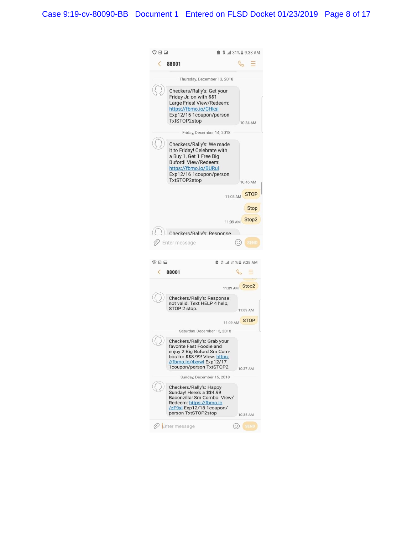Case 9:19-cv-80090-BB Document 1 Entered on FLSD Docket 01/23/2019 Page 8 of 17

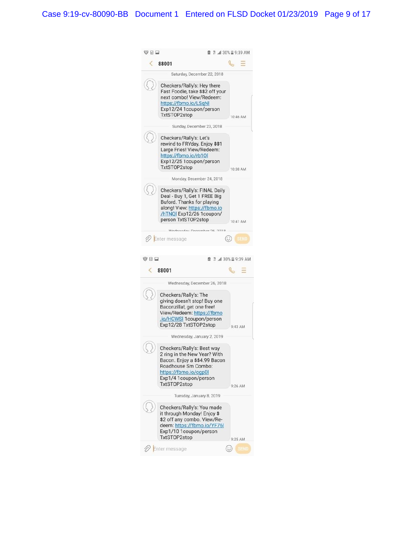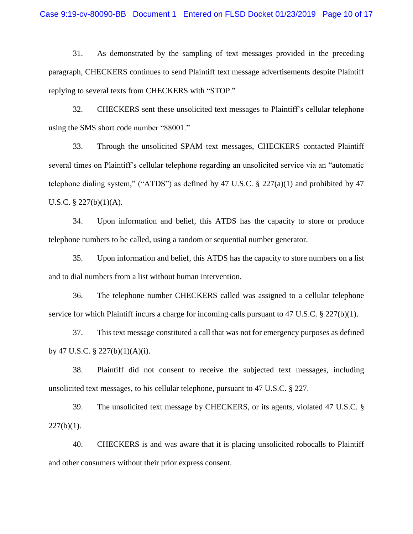31. As demonstrated by the sampling of text messages provided in the preceding paragraph, CHECKERS continues to send Plaintiff text message advertisements despite Plaintiff replying to several texts from CHECKERS with "STOP."

32. CHECKERS sent these unsolicited text messages to Plaintiff's cellular telephone using the SMS short code number "88001."

33. Through the unsolicited SPAM text messages, CHECKERS contacted Plaintiff several times on Plaintiff's cellular telephone regarding an unsolicited service via an "automatic telephone dialing system," ("ATDS") as defined by 47 U.S.C.  $\S$  227(a)(1) and prohibited by 47 U.S.C.  $\S$  227(b)(1)(A).

34. Upon information and belief, this ATDS has the capacity to store or produce telephone numbers to be called, using a random or sequential number generator.

35. Upon information and belief, this ATDS has the capacity to store numbers on a list and to dial numbers from a list without human intervention.

36. The telephone number CHECKERS called was assigned to a cellular telephone service for which Plaintiff incurs a charge for incoming calls pursuant to 47 U.S.C. § 227(b)(1).

37. This text message constituted a call that was not for emergency purposes as defined by 47 U.S.C.  $\S$  227(b)(1)(A)(i).

38. Plaintiff did not consent to receive the subjected text messages, including unsolicited text messages, to his cellular telephone, pursuant to 47 U.S.C. § 227.

39. The unsolicited text message by CHECKERS, or its agents, violated 47 U.S.C. §  $227(b)(1)$ .

40. CHECKERS is and was aware that it is placing unsolicited robocalls to Plaintiff and other consumers without their prior express consent.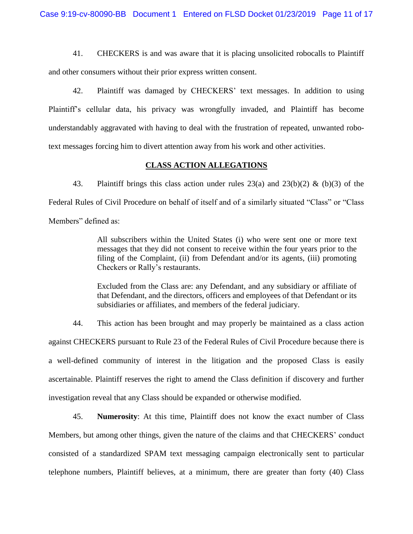41. CHECKERS is and was aware that it is placing unsolicited robocalls to Plaintiff and other consumers without their prior express written consent.

42. Plaintiff was damaged by CHECKERS' text messages. In addition to using Plaintiff's cellular data, his privacy was wrongfully invaded, and Plaintiff has become understandably aggravated with having to deal with the frustration of repeated, unwanted robotext messages forcing him to divert attention away from his work and other activities.

## **CLASS ACTION ALLEGATIONS**

43. Plaintiff brings this class action under rules 23(a) and 23(b)(2) & (b)(3) of the Federal Rules of Civil Procedure on behalf of itself and of a similarly situated "Class" or "Class Members" defined as:

> All subscribers within the United States (i) who were sent one or more text messages that they did not consent to receive within the four years prior to the filing of the Complaint, (ii) from Defendant and/or its agents, (iii) promoting Checkers or Rally's restaurants.

> Excluded from the Class are: any Defendant, and any subsidiary or affiliate of that Defendant, and the directors, officers and employees of that Defendant or its subsidiaries or affiliates, and members of the federal judiciary.

44. This action has been brought and may properly be maintained as a class action against CHECKERS pursuant to Rule 23 of the Federal Rules of Civil Procedure because there is a well-defined community of interest in the litigation and the proposed Class is easily ascertainable. Plaintiff reserves the right to amend the Class definition if discovery and further investigation reveal that any Class should be expanded or otherwise modified.

45. **Numerosity**: At this time, Plaintiff does not know the exact number of Class Members, but among other things, given the nature of the claims and that CHECKERS' conduct consisted of a standardized SPAM text messaging campaign electronically sent to particular telephone numbers, Plaintiff believes, at a minimum, there are greater than forty (40) Class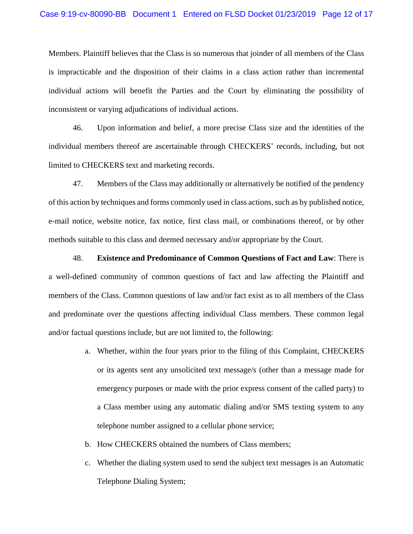Members. Plaintiff believes that the Class is so numerous that joinder of all members of the Class is impracticable and the disposition of their claims in a class action rather than incremental individual actions will benefit the Parties and the Court by eliminating the possibility of inconsistent or varying adjudications of individual actions.

46. Upon information and belief, a more precise Class size and the identities of the individual members thereof are ascertainable through CHECKERS' records, including, but not limited to CHECKERS text and marketing records.

47. Members of the Class may additionally or alternatively be notified of the pendency of this action by techniques and forms commonly used in class actions, such as by published notice, e-mail notice, website notice, fax notice, first class mail, or combinations thereof, or by other methods suitable to this class and deemed necessary and/or appropriate by the Court.

48. **Existence and Predominance of Common Questions of Fact and Law**: There is a well-defined community of common questions of fact and law affecting the Plaintiff and members of the Class. Common questions of law and/or fact exist as to all members of the Class and predominate over the questions affecting individual Class members. These common legal and/or factual questions include, but are not limited to, the following:

- a. Whether, within the four years prior to the filing of this Complaint, CHECKERS or its agents sent any unsolicited text message/s (other than a message made for emergency purposes or made with the prior express consent of the called party) to a Class member using any automatic dialing and/or SMS texting system to any telephone number assigned to a cellular phone service;
- b. How CHECKERS obtained the numbers of Class members;
- c. Whether the dialing system used to send the subject text messages is an Automatic Telephone Dialing System;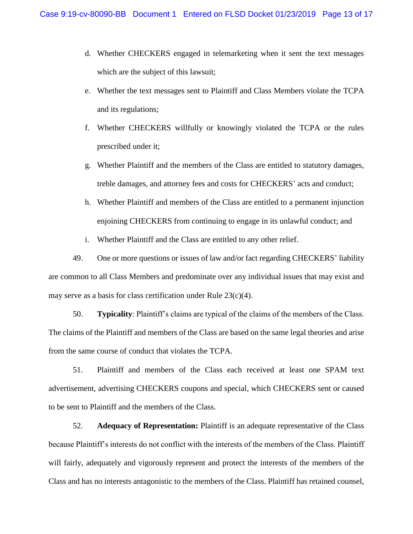- d. Whether CHECKERS engaged in telemarketing when it sent the text messages which are the subject of this lawsuit;
- e. Whether the text messages sent to Plaintiff and Class Members violate the TCPA and its regulations;
- f. Whether CHECKERS willfully or knowingly violated the TCPA or the rules prescribed under it;
- g. Whether Plaintiff and the members of the Class are entitled to statutory damages, treble damages, and attorney fees and costs for CHECKERS' acts and conduct;
- h. Whether Plaintiff and members of the Class are entitled to a permanent injunction enjoining CHECKERS from continuing to engage in its unlawful conduct; and
- i. Whether Plaintiff and the Class are entitled to any other relief.

49. One or more questions or issues of law and/or fact regarding CHECKERS' liability are common to all Class Members and predominate over any individual issues that may exist and may serve as a basis for class certification under Rule  $23(c)(4)$ .

50. **Typicality**: Plaintiff's claims are typical of the claims of the members of the Class. The claims of the Plaintiff and members of the Class are based on the same legal theories and arise from the same course of conduct that violates the TCPA.

51. Plaintiff and members of the Class each received at least one SPAM text advertisement, advertising CHECKERS coupons and special, which CHECKERS sent or caused to be sent to Plaintiff and the members of the Class.

52. **Adequacy of Representation:** Plaintiff is an adequate representative of the Class because Plaintiff's interests do not conflict with the interests of the members of the Class. Plaintiff will fairly, adequately and vigorously represent and protect the interests of the members of the Class and has no interests antagonistic to the members of the Class. Plaintiff has retained counsel,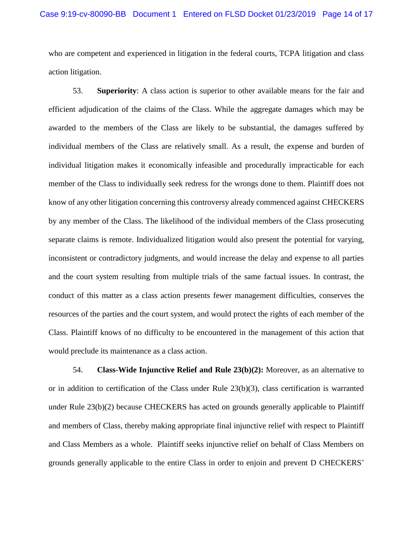who are competent and experienced in litigation in the federal courts, TCPA litigation and class action litigation.

53. **Superiority**: A class action is superior to other available means for the fair and efficient adjudication of the claims of the Class. While the aggregate damages which may be awarded to the members of the Class are likely to be substantial, the damages suffered by individual members of the Class are relatively small. As a result, the expense and burden of individual litigation makes it economically infeasible and procedurally impracticable for each member of the Class to individually seek redress for the wrongs done to them. Plaintiff does not know of any other litigation concerning this controversy already commenced against CHECKERS by any member of the Class. The likelihood of the individual members of the Class prosecuting separate claims is remote. Individualized litigation would also present the potential for varying, inconsistent or contradictory judgments, and would increase the delay and expense to all parties and the court system resulting from multiple trials of the same factual issues. In contrast, the conduct of this matter as a class action presents fewer management difficulties, conserves the resources of the parties and the court system, and would protect the rights of each member of the Class. Plaintiff knows of no difficulty to be encountered in the management of this action that would preclude its maintenance as a class action.

54. **Class-Wide Injunctive Relief and Rule 23(b)(2):** Moreover, as an alternative to or in addition to certification of the Class under Rule  $23(b)(3)$ , class certification is warranted under Rule 23(b)(2) because CHECKERS has acted on grounds generally applicable to Plaintiff and members of Class, thereby making appropriate final injunctive relief with respect to Plaintiff and Class Members as a whole. Plaintiff seeks injunctive relief on behalf of Class Members on grounds generally applicable to the entire Class in order to enjoin and prevent D CHECKERS'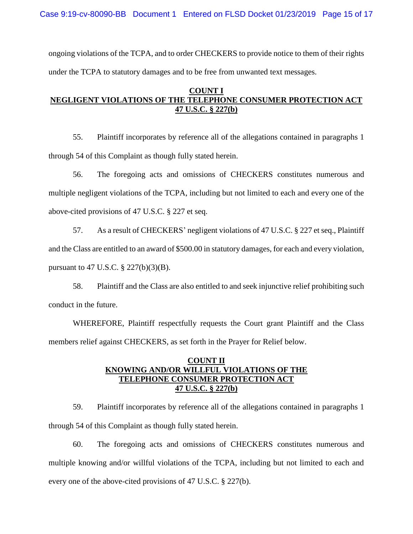Case 9:19-cv-80090-BB Document 1 Entered on FLSD Docket 01/23/2019 Page 15 of 17

ongoing violations of the TCPA, and to order CHECKERS to provide notice to them of their rights under the TCPA to statutory damages and to be free from unwanted text messages.

# **COUNT I NEGLIGENT VIOLATIONS OF THE TELEPHONE CONSUMER PROTECTION ACT 47 U.S.C. § 227(b)**

55. Plaintiff incorporates by reference all of the allegations contained in paragraphs 1 through 54 of this Complaint as though fully stated herein.

56. The foregoing acts and omissions of CHECKERS constitutes numerous and multiple negligent violations of the TCPA, including but not limited to each and every one of the above-cited provisions of 47 U.S.C. § 227 et seq.

57. As a result of CHECKERS' negligent violations of 47 U.S.C. § 227 et seq., Plaintiff and the Class are entitled to an award of \$500.00 in statutory damages, for each and every violation, pursuant to 47 U.S.C. § 227(b)(3)(B).

58. Plaintiff and the Class are also entitled to and seek injunctive relief prohibiting such conduct in the future.

WHEREFORE, Plaintiff respectfully requests the Court grant Plaintiff and the Class members relief against CHECKERS, as set forth in the Prayer for Relief below.

## **COUNT II KNOWING AND/OR WILLFUL VIOLATIONS OF THE TELEPHONE CONSUMER PROTECTION ACT 47 U.S.C. § 227(b)**

59. Plaintiff incorporates by reference all of the allegations contained in paragraphs 1 through 54 of this Complaint as though fully stated herein.

60. The foregoing acts and omissions of CHECKERS constitutes numerous and multiple knowing and/or willful violations of the TCPA, including but not limited to each and every one of the above-cited provisions of 47 U.S.C. § 227(b).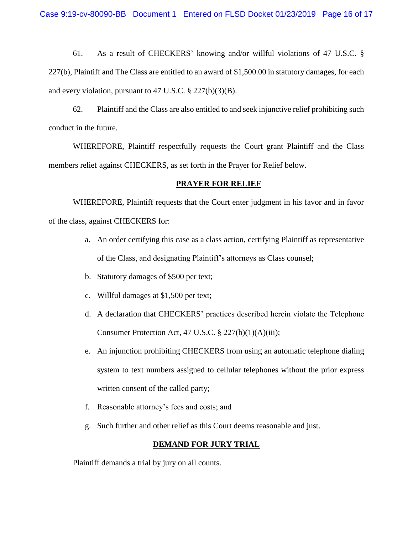61. As a result of CHECKERS' knowing and/or willful violations of 47 U.S.C. § 227(b), Plaintiff and The Class are entitled to an award of \$1,500.00 in statutory damages, for each and every violation, pursuant to 47 U.S.C. § 227(b)(3)(B).

62. Plaintiff and the Class are also entitled to and seek injunctive relief prohibiting such conduct in the future.

WHEREFORE, Plaintiff respectfully requests the Court grant Plaintiff and the Class members relief against CHECKERS, as set forth in the Prayer for Relief below.

#### **PRAYER FOR RELIEF**

WHEREFORE, Plaintiff requests that the Court enter judgment in his favor and in favor of the class, against CHECKERS for:

- a. An order certifying this case as a class action, certifying Plaintiff as representative of the Class, and designating Plaintiff's attorneys as Class counsel;
- b. Statutory damages of \$500 per text;
- c. Willful damages at \$1,500 per text;
- d. A declaration that CHECKERS' practices described herein violate the Telephone Consumer Protection Act, 47 U.S.C. § 227(b)(1)(A)(iii);
- e. An injunction prohibiting CHECKERS from using an automatic telephone dialing system to text numbers assigned to cellular telephones without the prior express written consent of the called party;
- f. Reasonable attorney's fees and costs; and
- g. Such further and other relief as this Court deems reasonable and just.

## **DEMAND FOR JURY TRIAL**

Plaintiff demands a trial by jury on all counts.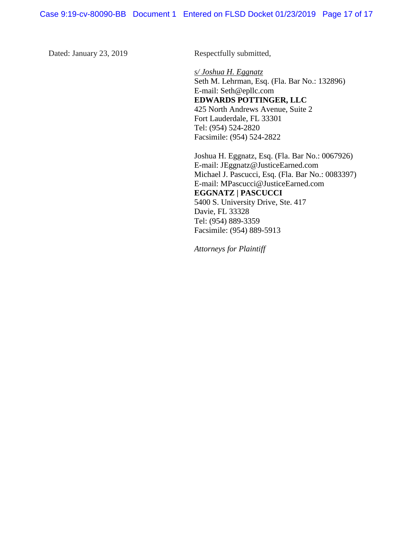Dated: January 23, 2019 Respectfully submitted,

*s/ Joshua H. Eggnatz* Seth M. Lehrman, Esq. (Fla. Bar No.: 132896) E-mail: Seth@epllc.com **EDWARDS POTTINGER, LLC** 425 North Andrews Avenue, Suite 2 Fort Lauderdale, FL 33301 Tel: (954) 524-2820 Facsimile: (954) 524-2822

Joshua H. Eggnatz, Esq. (Fla. Bar No.: 0067926) E-mail: JEggnatz@JusticeEarned.com Michael J. Pascucci, Esq. (Fla. Bar No.: 0083397) E-mail: MPascucci@JusticeEarned.com **EGGNATZ | PASCUCCI** 5400 S. University Drive, Ste. 417 Davie, FL 33328 Tel: (954) 889-3359 Facsimile: (954) 889-5913

*Attorneys for Plaintiff*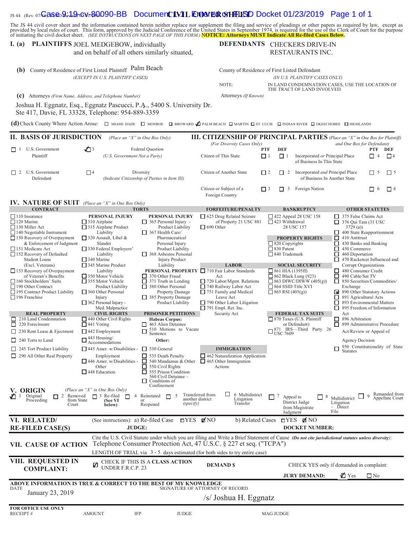# IS 44 (Rev. 07/G<del>20S&D 9:19-CWpB00090-BB</del> Document **1V1L Enter & SHFLISD** Docket 01/23/2019 Page 1 of 1

The JS 44 civil cover sheet and the information contained herein neither replace nor supplement the filing and service of pleadings or other papers as required by law, except as provided by local rules of court. This form,

Foreign Country

#### **I.** (a) PLAINTIFFS JOEL MEDGEBOW, individually **DEFENDANTS**

and on behalf of all others similarly situated,

## DEFENDANTS CHECKERS DRIVE-IN RESTAURANTS INC.

Citizen or Subject of a  $\Box$  3  $\Box$  3 Foreign Nation  $\Box$  6  $\Box$  6

| County of Residence of First Listed Plaintiff Palm Beach<br>(b)<br>(EXCEPT IN U.S. PLAINTIFF CASES) | County of Residence of First Listed Defendant<br>(IN U.S. PLAINTIFF CASES ONLY) |                                                                                                                                                                                                                                                                                                                             |                            |                 |     |                                                                                      |     |                 |
|-----------------------------------------------------------------------------------------------------|---------------------------------------------------------------------------------|-----------------------------------------------------------------------------------------------------------------------------------------------------------------------------------------------------------------------------------------------------------------------------------------------------------------------------|----------------------------|-----------------|-----|--------------------------------------------------------------------------------------|-----|-----------------|
|                                                                                                     |                                                                                 |                                                                                                                                                                                                                                                                                                                             | NOTE:                      |                 |     | IN LAND CONDEMNATION CASES, USE THE LOCATION OF<br>THE TRACT OF LAND INVOLVED.       |     |                 |
| (c)<br>Attorneys (Firm Name, Address, and Telephone Number)                                         |                                                                                 |                                                                                                                                                                                                                                                                                                                             | Attorneys (If Known)       |                 |     |                                                                                      |     |                 |
|                                                                                                     |                                                                                 | Joshua H. Eggnatz, Esq., Eggnatz Pascucci, P.A., 5400 S. University Dr.<br>Ste 417, Davie, FL 33328, Telephone: 954-889-3359<br>(d) Check County Where Action Arose: $\Box$ MIAMI-DADE $\Box$ MONROE $\Box$ BROWARD $\Box$ PALM BEACH $\Box$ MARTIN $\Box$ ST. LUCIE $\Box$ INDIAN RIVER $\Box$ OKEECHOBEE $\Box$ HIGHLANDS |                            |                 |     |                                                                                      |     |                 |
| <b>II. BASIS OF JURISDICTION</b>                                                                    |                                                                                 | (Place an "X" in One Box Only)                                                                                                                                                                                                                                                                                              |                            |                 |     | <b>III. CITIZENSHIP OF PRINCIPAL PARTIES</b> (Place an "X" in One Box for Plaintiff) |     |                 |
|                                                                                                     |                                                                                 |                                                                                                                                                                                                                                                                                                                             | (For Diversity Cases Only) |                 |     | and One Box for Defendant)                                                           |     |                 |
| П<br>U.S. Government<br>Plaintiff                                                                   | $\sqrt{3}$                                                                      | Federal Question<br>(U.S. Government Not a Party)                                                                                                                                                                                                                                                                           | Citizen of This State      | <b>PTF</b><br>┑ | DEF | Incorporated or Principal Place<br>of Business In This State                         | PTF | DEF<br>$\Box$ 4 |
| U.S. Government<br>$\Box$<br>Defendant                                                              | $\Box$ 4                                                                        | Diversity<br>(Indicate Citizenship of Parties in Item III)                                                                                                                                                                                                                                                                  | Citizen of Another State   | l 12            |     | Incorporated and Principal Place<br>of Business In Another State                     | H   | $\Box$ 5        |

# **IV. NATURE OF SUIT** *(Place an "X" in One Box Only)*

| <b>IV.</b> IVALUNE OF SUIL (Place an $\Lambda$ in One Box Only)<br><b>CONTRACT</b>                                                                                              |                                                                                                                                                                                   | <b>TORTS</b>                                                                                                                                                          | <b>FORFEITURE/PENALTY</b>                                                                                                                                                                                                                                                                                  | <b>BANKRUPTCY</b>                                                                                                                               | <b>OTHER STATUTES</b>                                                                                                                                                                                                                    |  |  |  |  |  |
|---------------------------------------------------------------------------------------------------------------------------------------------------------------------------------|-----------------------------------------------------------------------------------------------------------------------------------------------------------------------------------|-----------------------------------------------------------------------------------------------------------------------------------------------------------------------|------------------------------------------------------------------------------------------------------------------------------------------------------------------------------------------------------------------------------------------------------------------------------------------------------------|-------------------------------------------------------------------------------------------------------------------------------------------------|------------------------------------------------------------------------------------------------------------------------------------------------------------------------------------------------------------------------------------------|--|--|--|--|--|
|                                                                                                                                                                                 |                                                                                                                                                                                   |                                                                                                                                                                       |                                                                                                                                                                                                                                                                                                            |                                                                                                                                                 |                                                                                                                                                                                                                                          |  |  |  |  |  |
| $\Box$ 110 Insurance<br>$\Box$ 120 Marine<br>$\Box$ 130 Miller Act<br>$\Box$ 140 Negotiable Instrument                                                                          | PERSONAL INJURY<br>$\Box$ 310 Airplane<br>$\Box$ 315 Airplane Product<br>Liability                                                                                                | PERSONAL INJURY<br>$\Box$ 365 Personal Injury -<br>Product Liability<br>$\Box$ 367 Health Care/                                                                       | $\Box$ 625 Drug Related Seizure<br>of Property 21 USC 881<br>$\Box$ 690 Other                                                                                                                                                                                                                              | $\Box$ 422 Appeal 28 USC 158<br>$\Box$ 423 Withdrawal<br>28 USC 157                                                                             | $\Box$ 375 False Claims Act<br>$\Box$ 376 Qui Tam (31 USC<br>3729(a)<br>400 State Reapportionment                                                                                                                                        |  |  |  |  |  |
| $\Box$ 150 Recovery of Overpayment<br>& Enforcement of Judgment<br>151 Medicare Act<br>152 Recovery of Defaulted<br><b>Student Loans</b>                                        | $\Box$ 320 Assault, Libel &<br>Slander<br>$\Box$ 330 Federal Employers'<br>Liability                                                                                              | Pharmaceutical<br>Personal Injury<br>Product Liability<br>$\Box$ 368 Asbestos Personal                                                                                |                                                                                                                                                                                                                                                                                                            | <b>PROPERTY RIGHTS</b><br>$\Box$ 820 Copyrights<br>$\Box$ 830 Patent<br>$\Box$ 840 Trademark                                                    | □<br>410 Antitrust<br>П<br>430 Banks and Banking<br>П<br>450 Commerce<br>□<br>460 Deportation<br>П                                                                                                                                       |  |  |  |  |  |
| (Excl. Veterans)                                                                                                                                                                | $\Box$ 340 Marine<br>345 Marine Product                                                                                                                                           | <b>Injury Product</b><br>Liability                                                                                                                                    | <b>LABOR</b>                                                                                                                                                                                                                                                                                               | <b>SOCIAL SECURITY</b>                                                                                                                          | 470 Racketeer Influenced and<br>Corrupt Organizations                                                                                                                                                                                    |  |  |  |  |  |
| $\Box$ 153 Recovery of Overpayment<br>of Veteran's Benefits<br>160 Stockholders' Suits<br>$\Box$ 190 Other Contract<br>□ 195 Contract Product Liability<br>$\Box$ 196 Franchise | Liability<br>$\Box$ 350 Motor Vehicle<br>$\Box$ 355 Motor Vehicle<br>Product Liability<br>$\Box$ 360 Other Personal<br>Injury<br>$\Box$ 362 Personal Injury -<br>Med. Malpractice | 370 Other Fraud<br>$\Box$ 371 Truth in Lending<br>$\Box$ 380 Other Personal<br>Property Damage<br>$\Box$ 385 Property Damage<br>Product Liability                     | PERSONAL PROPERTY □ 710 Fair Labor Standards<br>Act<br>$\Box$ 720 Labor/Mgmt. Relations<br>740 Railway Labor Act<br>$\Box$ 751 Family and Medical<br>Leave Act<br>$\Box$ 790 Other Labor Litigation<br>$\Box$ 791 Empl. Ret. Inc.                                                                          | $\Box$ 861 HIA (1395ff)<br>$\Box$ 862 Black Lung (923)<br>$\Box$ 863 DIWC/DIWW (405(g))<br>$\Box$ 864 SSID Title XVI<br>$\Box$ 865 RSI (405(g)) | 480 Consumer Credit<br>□<br>490 Cable/Sat TV<br>П<br>850 Securities/Commodities/<br>Exchange<br>890 Other Statutory Actions<br>⊡<br>□<br>891 Agricultural Acts<br>$\Box$<br>893 Environmental Matters<br>П<br>895 Freedom of Information |  |  |  |  |  |
| <b>REAL PROPERTY</b>                                                                                                                                                            | <b>CIVIL RIGHTS</b>                                                                                                                                                               | <b>PRISONER PETITIONS</b>                                                                                                                                             | Security Act                                                                                                                                                                                                                                                                                               | <b>FEDERAL TAX SUITS</b>                                                                                                                        | Act                                                                                                                                                                                                                                      |  |  |  |  |  |
| $\Box$ 210 Land Condemnation<br>$\Box$ 440 Other Civil Rights<br>$\Box$ 220 Foreclosure<br>$\Box$ 441 Voting                                                                    |                                                                                                                                                                                   | <b>Habeas Corpus:</b><br>463 Alien Detainee<br>□                                                                                                                      |                                                                                                                                                                                                                                                                                                            | □ 870 Taxes (U.S. Plaintiff<br>or Defendant)                                                                                                    | □ 896 Arbitration<br>□ 899 Administrative Procedure                                                                                                                                                                                      |  |  |  |  |  |
| $\Box$ 230 Rent Lease & Ejectment                                                                                                                                               | $\Box$ 442 Employment                                                                                                                                                             | 510 Motions to Vacate<br>□<br>Sentence                                                                                                                                |                                                                                                                                                                                                                                                                                                            | $\Box_{\text{USC}}^{871}$ IRS—Third Party 26                                                                                                    | Act/Review or Appeal of                                                                                                                                                                                                                  |  |  |  |  |  |
| 240 Torts to Land                                                                                                                                                               | 443 Housing/<br>Accommodations                                                                                                                                                    | Other:                                                                                                                                                                |                                                                                                                                                                                                                                                                                                            |                                                                                                                                                 | Agency Decision                                                                                                                                                                                                                          |  |  |  |  |  |
| $\Box$ 245 Tort Product Liability                                                                                                                                               | $\Box$ 445 Amer. w/Disabilities -                                                                                                                                                 | $\Box$ 530 General                                                                                                                                                    | <b>IMMIGRATION</b>                                                                                                                                                                                                                                                                                         |                                                                                                                                                 | 950 Constitutionality of State<br>□<br><b>Statutes</b>                                                                                                                                                                                   |  |  |  |  |  |
| $\Box$ 290 All Other Real Property<br><b>V. ORIGIN</b>                                                                                                                          | Employment<br>$\Box$ 446 Amer. w/Disabilities - $\Box$<br>Other<br>$\Box$ 448 Education<br>(Place an "X" in One Box Only)                                                         | $\Box$ 535 Death Penalty<br>540 Mandamus & Other<br>$\Box$ 550 Civil Rights<br>555 Prison Condition<br>П<br>560 Civil Detainee -<br>Conditions of<br>ш<br>Confinement | $\Box$ 462 Naturalization Application<br>$\Box$ 465 Other Immigration<br>Actions                                                                                                                                                                                                                           |                                                                                                                                                 |                                                                                                                                                                                                                                          |  |  |  |  |  |
| √⊡ 1<br>2 Removed<br>Original<br>from State<br>Proceeding<br>Court                                                                                                              | $\Box$ 3 Re-filed<br>$\Box$<br>$\overline{4}$<br>(See VI<br>below)                                                                                                                | 5<br>Reinstated<br>$\Box$<br>another district<br>or<br>(specify)<br>Reopened                                                                                          | □.<br>6 Multidistrict<br>Transferred from<br>Litigation<br>Transfer                                                                                                                                                                                                                                        | 7<br>Appeal to<br>8<br>District Judge<br>from Magistrate<br>Judgment                                                                            | Remanded from<br>$\overline{Q}$<br>Multidistrict<br>Appellate Court<br>Litigation<br>$-$ Direct<br>File                                                                                                                                  |  |  |  |  |  |
| VI. RELATED/<br><b>RE-FILED CASE(S)</b>                                                                                                                                         | (See instructions): a) Re-filed Case<br><b>JUDGE:</b>                                                                                                                             | $\Box$ YES                                                                                                                                                            | $\blacksquare$ NO<br>b) Related Cases                                                                                                                                                                                                                                                                      | $\Box$ YES ØNO<br><b>DOCKET NUMBER:</b>                                                                                                         |                                                                                                                                                                                                                                          |  |  |  |  |  |
| VII. CAUSE OF ACTION                                                                                                                                                            |                                                                                                                                                                                   |                                                                                                                                                                       | Cite the U.S. Civil Statute under which you are filing and Write a Brief Statement of Cause (Do not cite jurisdictional statutes unless diversity):<br>Telephone Consumer Protection Act, 47 U.S.C. § 227 et seq. ("TCPA")<br>LENGTH OF TRIAL via 3 - 5 days estimated (for both sides to try entire case) |                                                                                                                                                 |                                                                                                                                                                                                                                          |  |  |  |  |  |
| VIII. REQUESTED IN<br><b>COMPLAINT:</b>                                                                                                                                         | UNDER F.R.C.P. 23                                                                                                                                                                 | CHECK IF THIS IS A CLASS ACTION                                                                                                                                       | <b>DEMAND \$</b>                                                                                                                                                                                                                                                                                           | <b>JURY DEMAND:</b>                                                                                                                             | CHECK YES only if demanded in complaint:<br><b>⊘</b> Yes<br>$\square$ No                                                                                                                                                                 |  |  |  |  |  |
| ABOVE INFORMATION IS TRUE & CORRECT TO THE BEST OF MY KNOWLEDGE                                                                                                                 |                                                                                                                                                                                   |                                                                                                                                                                       |                                                                                                                                                                                                                                                                                                            |                                                                                                                                                 |                                                                                                                                                                                                                                          |  |  |  |  |  |
| DATE<br>January 23, 2019                                                                                                                                                        |                                                                                                                                                                                   | SIGNATURE OF ATTORNEY OF RECORD<br>/s/ Joshua H. Eggnatz                                                                                                              |                                                                                                                                                                                                                                                                                                            |                                                                                                                                                 |                                                                                                                                                                                                                                          |  |  |  |  |  |
| <b>FOR OFFICE USE ONLY</b><br>RECEIPT#                                                                                                                                          | <b>AMOUNT</b><br><b>IFP</b>                                                                                                                                                       | <b>JUDGE</b>                                                                                                                                                          |                                                                                                                                                                                                                                                                                                            | <b>MAG JUDGE</b>                                                                                                                                |                                                                                                                                                                                                                                          |  |  |  |  |  |